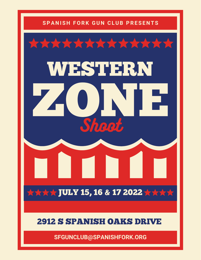### **SPANISH FORK GUN CLUB PRESENTS**



## 2912 S SPANISH OAKS DRIVE

**SFGUNCLUB@SPANISHFORK.ORG**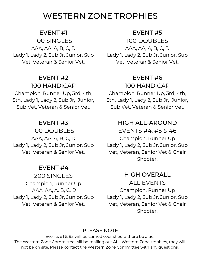## WESTERN ZONE TROPHIES

#### EVENT #1

100 SINGLES AAA, AA, A, B, C, D Lady 1, Lady 2, Sub Jr, Junior, Sub Vet, Veteran & Senior Vet.

#### EVENT #2

100 HANDICAP Champion, Runner Up, 3rd, 4th, 5th, Lady 1, Lady 2, Sub Jr, Junior, Sub Vet, Veteran & Senior Vet.

#### EVENT #3

100 DOUBLES AAA, AA, A, B, C, D Lady 1, Lady 2, Sub Jr, Junior, Sub Vet, Veteran & Senior Vet.

#### EVENT #4

200 SINGLES Champion, Runner Up AAA, AA, A, B, C, D Lady 1, Lady 2, Sub Jr, Junior, Sub Vet, Veteran & Senior Vet.

#### EVENT #5

100 DOUBLES AAA, AA, A, B, C, D Lady 1, Lady 2, Sub Jr, Junior, Sub Vet, Veteran & Senior Vet.

#### EVENT #6

100 HANDICAP Champion, Runner Up, 3rd, 4th, 5th, Lady 1, Lady 2, Sub Jr, Junior, Sub Vet, Veteran & Senior Vet.

### HIGH ALL-AROUND

EVENTS #4, #5 & #6 Champion, Runner Up Lady 1, Lady 2, Sub Jr, Junior, Sub Vet, Veteran, Senior Vet & Chair Shooter.

## HIGH OVERALL

ALL EVENTS Champion, Runner Up Lady 1, Lady 2, Sub Jr, Junior, Sub Vet, Veteran, Senior Vet & Chair Shooter.

#### PLEASE NOTE

Events #1 & #3 will be carried over should there be a tie. The Western Zone Committee will be mailing out ALL Western Zone trophies, they will not be on site. Please contact the Western Zone Committee with any questions.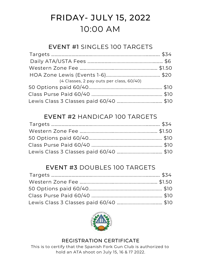# FRIDAY- JULY 15, 2022 10:00 AM

### EVENT #1 SINGLES 100 TARGETS

| (4 Classes, 2 pay outs per class, 60/40) |  |
|------------------------------------------|--|
|                                          |  |
|                                          |  |
|                                          |  |

## EVENT #2 HANDICAP 100 TARGETS

## EVENT #3 DOUBLES 100 TARGETS



### REGISTRATION CERTIFICATE

This is to certify that the Spanish Fork Gun Club is authorized to hold an ATA shoot on July 15, 16 & 17 2022.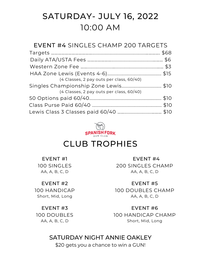# SATURDAY- JULY 16, 2022 10:00 AM

## EVENT #4 SINGLES CHAMP 200 TARGETS

| (4 Classes, 2 pay outs per class, 60/40) |  |
|------------------------------------------|--|
| Singles Championship Zone Lewis\$10      |  |
| (4 Classes, 2 pay outs per class, 60/40) |  |
|                                          |  |
|                                          |  |
|                                          |  |



## CLUB TROPHIES

EVENT #1 100 SINGLES AA, A, B, C, D

EVENT #2

100 HANDICAP Short, Mid, Long

#### EVENT #3

100 DOUBLES AA, A, B, C, D

EVENT #4 200 SINGLES CHAMP AA, A, B, C, D

EVENT #5 100 DOUBLES CHAMP AA, A, B, C, D

EVENT #6 100 HANDICAP CHAMP Short, Mid, Long

## SATURDAY NIGHT ANNIE OAKLEY

\$20 gets you a chance to win a GUN!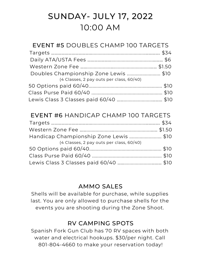# SUNDAY- JULY 17, 2022 10:00 AM

## EVENT #5 DOUBLES CHAMP 100 TARGETS

| Doubles Championship Zone Lewis \$10     |  |
|------------------------------------------|--|
| (4 Classes, 2 pay outs per class, 60/40) |  |
|                                          |  |
|                                          |  |
|                                          |  |

| EVENT #6 HANDICAP CHAMP 100 TARGETS      |  |
|------------------------------------------|--|
|                                          |  |
|                                          |  |
| Handicap Championship Zone Lewis \$10    |  |
| (4 Classes, 2 pay outs per class, 60/40) |  |
|                                          |  |
|                                          |  |
|                                          |  |

## AMMO SALES

Shells will be available for purchase, while supplies last. You are only allowed to purchase shells for the events you are shooting during the Zone Shoot.

### RV CAMPING SPOTS

Spanish Fork Gun Club has 70 RV spaces with both water and electrical hookups. \$30/per night. Call 801-804-4660 to make your reservation today!